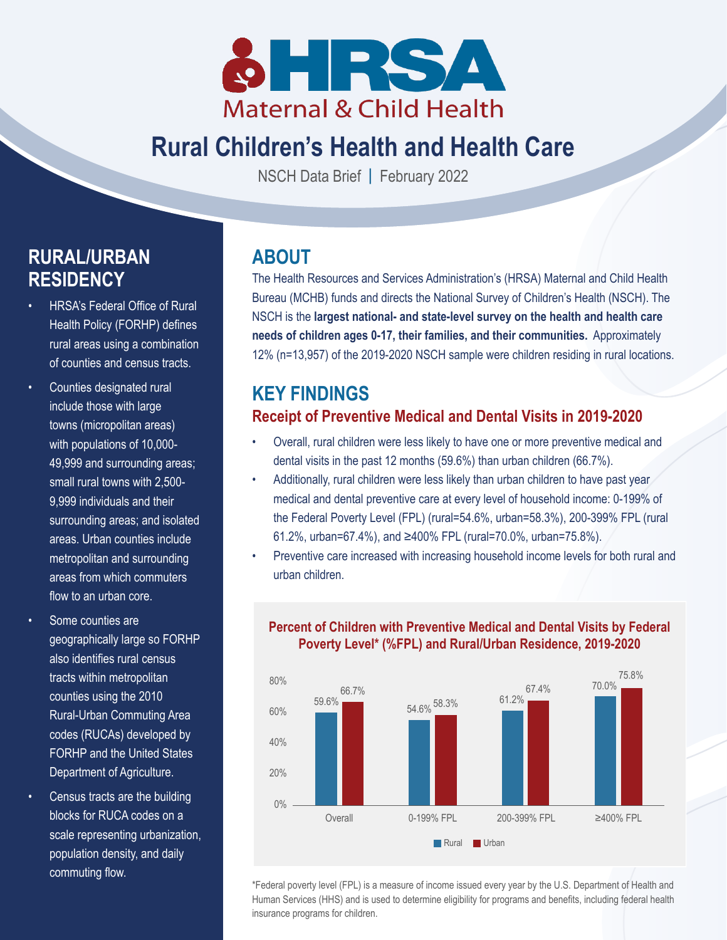

# **Rural Children's Health and Health Care**

NSCH Data Brief **|** February 2022

# **RURAL/URBAN RESIDENCY**

- HRSA's Federal Office of Rural Health Policy (FORHP) defines rural areas using a combination of counties and census tracts.
- Counties designated rural include those with large towns (micropolitan areas) with populations of 10,000- 49,999 and surrounding areas; small rural towns with 2,500- 9,999 individuals and their surrounding areas; and isolated areas. Urban counties include metropolitan and surrounding areas from which commuters flow to an urban core.
- Some counties are geographically large so FORHP also identifies rural census tracts within metropolitan counties using the 2010 Rural-Urban Commuting Area codes (RUCAs) developed by FORHP and the United States Department of Agriculture.
- Census tracts are the building blocks for RUCA codes on a scale representing urbanization, population density, and daily commuting flow.

## **ABOUT**

The Health Resources and Services Administration's (HRSA) Maternal and Child Health Bureau (MCHB) funds and directs the National Survey of Children's Health (NSCH). The NSCH is the **largest national- and state-level survey on the health and health care needs of children ages 0-17, their families, and their communities.** Approximately 12% (n=13,957) of the 2019-2020 NSCH sample were children residing in rural locations.

## **KEY FINDINGS Receipt of Preventive Medical and Dental Visits in 2019-2020**

- Overall, rural children were less likely to have one or more preventive medical and dental visits in the past 12 months (59.6%) than urban children (66.7%).
- Additionally, rural children were less likely than urban children to have past year medical and dental preventive care at every level of household income: 0-199% of the Federal Poverty Level (FPL) (rural=54.6%, urban=58.3%), 200-399% FPL (rural 61.2%, urban=67.4%), and ≥400% FPL (rural=70.0%, urban=75.8%).
- Preventive care increased with increasing household income levels for both rural and urban children.



#### **Percent of Children with Preventive Medical and Dental Visits by Federal Poverty Level\* (%FPL) and Rural/Urban Residence, 2019-2020**

\*Federal poverty level (FPL) is a measure of income issued every year by the U.S. Department of Health and Human Services (HHS) and is used to determine eligibility for programs and benefits, including federal health insurance programs for children.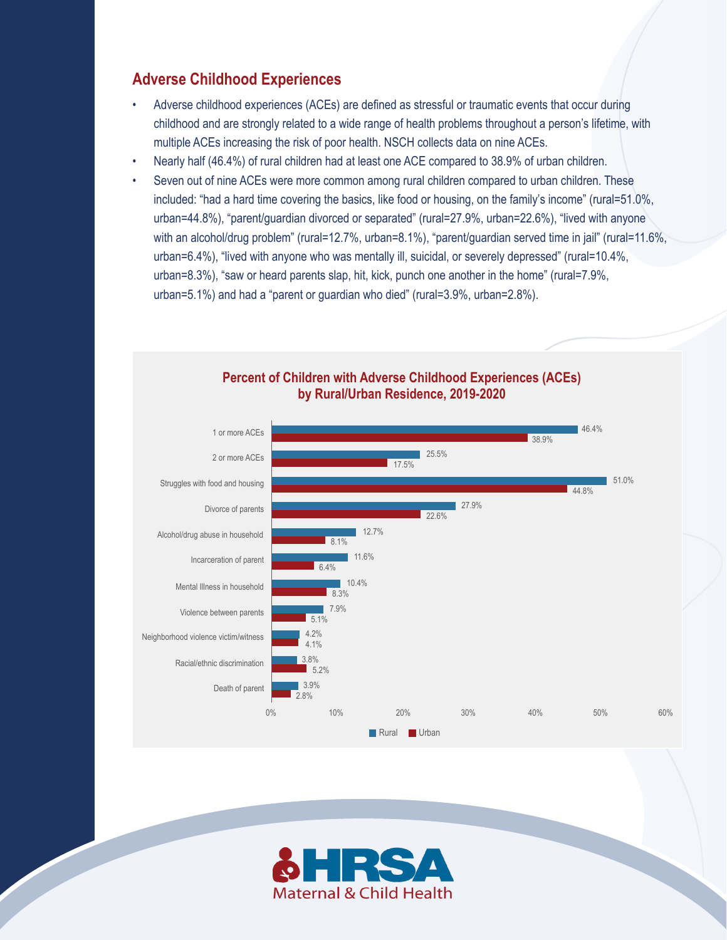### **Adverse Childhood Experiences**

- Adverse childhood experiences (ACEs) are defined as stressful or traumatic events that occur during childhood and are strongly related to a wide range of health problems throughout a person's lifetime, with multiple ACEs increasing the risk of poor health. NSCH collects data on nine ACEs.
- Nearly half (46.4%) of rural children had at least one ACE compared to 38.9% of urban children.
- Seven out of nine ACEs were more common among rural children compared to urban children. These included: "had a hard time covering the basics, like food or housing, on the family's income" (rural=51.0%, urban=44.8%), "parent/guardian divorced or separated" (rural=27.9%, urban=22.6%), "lived with anyone with an alcohol/drug problem" (rural=12.7%, urban=8.1%), "parent/guardian served time in jail" (rural=11.6%, urban=6.4%), "lived with anyone who was mentally ill, suicidal, or severely depressed" (rural=10.4%, urban=8.3%), "saw or heard parents slap, hit, kick, punch one another in the home" (rural=7.9%, urban=5.1%) and had a "parent or guardian who died" (rural=3.9%, urban=2.8%).



#### **Percent of Children with Adverse Childhood Experiences (ACEs) by Rural/Urban Residence, 2019-2020**